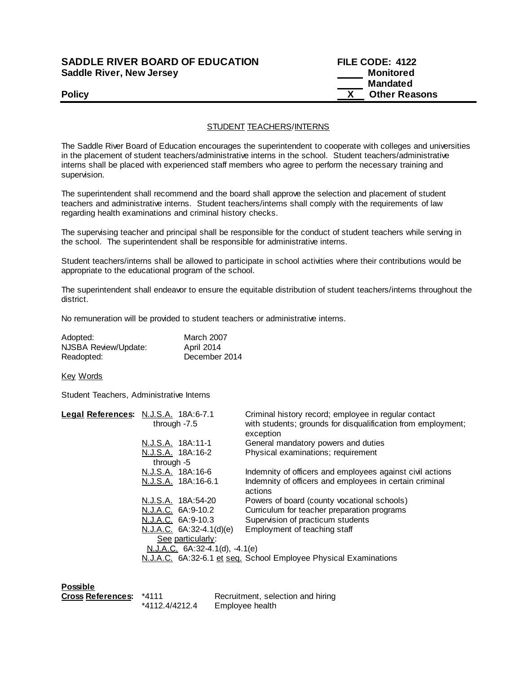## **SADDLE RIVER BOARD OF EDUCATION Saddle River, New Jersey**

| <b>SADDLE RIVER BOARD OF EDUCATION</b> | <b>FILE CODE: 4122</b> |
|----------------------------------------|------------------------|
| Saddle River, New Jersey               | Monitored              |
|                                        | <b>Mandated</b>        |
| <b>Policy</b>                          | <b>Other Reasons</b>   |

## STUDENT TEACHERS/INTERNS

The Saddle River Board of Education encourages the superintendent to cooperate with colleges and universities in the placement of student teachers/administrative interns in the school. Student teachers/administrative interns shall be placed with experienced staff members who agree to perform the necessary training and supervision.

The superintendent shall recommend and the board shall approve the selection and placement of student teachers and administrative interns. Student teachers/interns shall comply with the requirements of law regarding health examinations and criminal history checks.

The supervising teacher and principal shall be responsible for the conduct of student teachers while serving in the school. The superintendent shall be responsible for administrative interns.

Student teachers/interns shall be allowed to participate in school activities where their contributions would be appropriate to the educational program of the school.

The superintendent shall endeavor to ensure the equitable distribution of student teachers/interns throughout the district.

No remuneration will be provided to student teachers or administrative interns.

| Adopted:             | <b>March 2007</b> |
|----------------------|-------------------|
| NJSBA Review/Update: | April 2014        |
| Readopted:           | December 2014     |

Key Words

Student Teachers, Administrative Interns

| Legal References: N.J.S.A. 18A:6-7.1 | through $-7.5$           |  | Criminal history record; employee in regular contact<br>with students; grounds for disqualification from employment;<br>exception |
|--------------------------------------|--------------------------|--|-----------------------------------------------------------------------------------------------------------------------------------|
|                                      | N.J.S.A. 18A:11-1        |  | General mandatory powers and duties                                                                                               |
|                                      | N.J.S.A. 18A:16-2        |  | Physical examinations; requirement                                                                                                |
|                                      | through $-5$             |  |                                                                                                                                   |
|                                      | N.J.S.A. 18A:16-6        |  | Indemnity of officers and employees against civil actions                                                                         |
|                                      | N.J.S.A. 18A:16-6.1      |  | Indemnity of officers and employees in certain criminal                                                                           |
|                                      |                          |  | actions                                                                                                                           |
|                                      | N.J.S.A. 18A:54-20       |  | Powers of board (county vocational schools)                                                                                       |
|                                      | N.J.A.C. 6A:9-10.2       |  | Curriculum for teacher preparation programs                                                                                       |
|                                      | N.J.A.C. 6A:9-10.3       |  | Supervision of practicum students                                                                                                 |
|                                      | N.J.A.C. 6A:32-4.1(d)(e) |  | Employment of teaching staff                                                                                                      |
|                                      | See particularly:        |  |                                                                                                                                   |
| $N.J.A.C. 6A:32-4.1(d), -4.1(e)$     |                          |  |                                                                                                                                   |
|                                      |                          |  | N.J.A.C. 6A:32-6.1 et seq. School Employee Physical Examinations                                                                  |
|                                      |                          |  |                                                                                                                                   |

**Possible**

| Cross References: *4111 |                | Recruitment, selection and hiring |
|-------------------------|----------------|-----------------------------------|
|                         | *4112.4/4212.4 | Employee health                   |